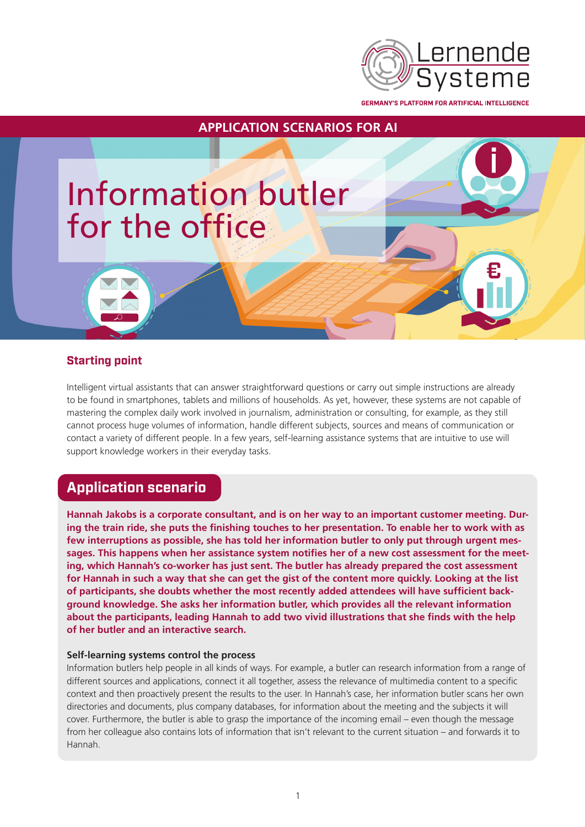

**GERMANY'S PLATFORM FOR ARTIFICIAL INTELLIGENCE** 



## **Starting point**

Intelligent virtual assistants that can answer straightforward questions or carry out simple instructions are already to be found in smartphones, tablets and millions of households. As yet, however, these systems are not capable of mastering the complex daily work involved in journalism, administration or consulting, for example, as they still cannot process huge volumes of information, handle different subjects, sources and means of communication or contact a variety of different people. In a few years, self-learning assistance systems that are intuitive to use will support knowledge workers in their everyday tasks.

# **Application scenario**

**Hannah Jakobs is a corporate consultant, and is on her way to an important customer meeting. During the train ride, she puts the finishing touches to her presentation. To enable her to work with as few interruptions as possible, she has told her information butler to only put through urgent messages. This happens when her assistance system notifies her of a new cost assessment for the meeting, which Hannah's co-worker has just sent. The butler has already prepared the cost assessment for Hannah in such a way that she can get the gist of the content more quickly. Looking at the list of participants, she doubts whether the most recently added attendees will have sufficient background knowledge. She asks her information butler, which provides all the relevant information about the participants, leading Hannah to add two vivid illustrations that she finds with the help of her butler and an interactive search.** 

### **Self-learning systems control the process**

Information butlers help people in all kinds of ways. For example, a butler can research information from a range of different sources and applications, connect it all together, assess the relevance of multimedia content to a specific context and then proactively present the results to the user. In Hannah's case, her information butler scans her own directories and documents, plus company databases, for information about the meeting and the subjects it will cover. Furthermore, the butler is able to grasp the importance of the incoming email – even though the message from her colleague also contains lots of information that isn't relevant to the current situation – and forwards it to Hannah.